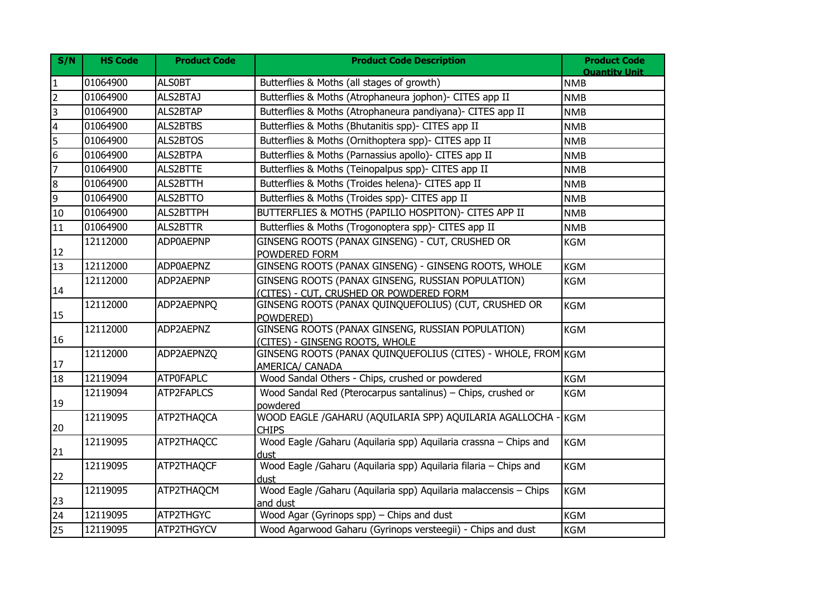| S/N                     | <b>HS Code</b> | <b>Product Code</b> | <b>Product Code Description</b>                                                              | <b>Product Code</b><br><b>Ouantity Unit</b> |
|-------------------------|----------------|---------------------|----------------------------------------------------------------------------------------------|---------------------------------------------|
| $\mathbf{1}$            | 01064900       | <b>ALSOBT</b>       | Butterflies & Moths (all stages of growth)                                                   | <b>NMB</b>                                  |
| $\overline{2}$          | 01064900       | ALS2BTAJ            | Butterflies & Moths (Atrophaneura jophon)- CITES app II                                      | <b>NMB</b>                                  |
| $\overline{a}$          | 01064900       | <b>ALS2BTAP</b>     | Butterflies & Moths (Atrophaneura pandiyana)- CITES app II                                   | <b>NMB</b>                                  |
| $\overline{\mathbf{4}}$ | 01064900       | ALS2BTBS            | Butterflies & Moths (Bhutanitis spp)- CITES app II                                           | <b>NMB</b>                                  |
| 5                       | 01064900       | ALS2BTOS            | Butterflies & Moths (Ornithoptera spp)- CITES app II                                         | <b>NMB</b>                                  |
| 6                       | 01064900       | <b>ALS2BTPA</b>     | Butterflies & Moths (Parnassius apollo)- CITES app II                                        | <b>NMB</b>                                  |
| $\overline{7}$          | 01064900       | ALS2BTTE            | Butterflies & Moths (Teinopalpus spp)- CITES app II                                          | <b>NMB</b>                                  |
| 8                       | 01064900       | ALS2BTTH            | Butterflies & Moths (Troides helena)- CITES app II                                           | <b>NMB</b>                                  |
| 9                       | 01064900       | ALS2BTTO            | Butterflies & Moths (Troides spp)- CITES app II                                              | <b>NMB</b>                                  |
| 10                      | 01064900       | ALS2BTTPH           | BUTTERFLIES & MOTHS (PAPILIO HOSPITON)- CITES APP II                                         | <b>NMB</b>                                  |
| 11                      | 01064900       | <b>ALS2BTTR</b>     | Butterflies & Moths (Trogonoptera spp)- CITES app II                                         | <b>NMB</b>                                  |
| 12                      | 12112000       | <b>ADP0AEPNP</b>    | GINSENG ROOTS (PANAX GINSENG) - CUT, CRUSHED OR<br>POWDERED FORM                             | <b>KGM</b>                                  |
| 13                      | 12112000       | <b>ADP0AEPNZ</b>    | GINSENG ROOTS (PANAX GINSENG) - GINSENG ROOTS, WHOLE                                         | <b>KGM</b>                                  |
| 14                      | 12112000       | ADP2AEPNP           | GINSENG ROOTS (PANAX GINSENG, RUSSIAN POPULATION)<br>(CITES) - CUT, CRUSHED OR POWDERED FORM | <b>KGM</b>                                  |
| 15                      | 12112000       | ADP2AEPNPQ          | GINSENG ROOTS (PANAX QUINQUEFOLIUS) (CUT, CRUSHED OR<br>POWDERED)                            | <b>KGM</b>                                  |
| 16                      | 12112000       | ADP2AEPNZ           | GINSENG ROOTS (PANAX GINSENG, RUSSIAN POPULATION)<br>(CITES) - GINSENG ROOTS, WHOLE          | <b>KGM</b>                                  |
| 17                      | 12112000       | ADP2AEPNZQ          | GINSENG ROOTS (PANAX QUINQUEFOLIUS (CITES) - WHOLE, FROM KGM<br>AMERICA/ CANADA              |                                             |
| 18                      | 12119094       | <b>ATPOFAPLC</b>    | Wood Sandal Others - Chips, crushed or powdered                                              | <b>KGM</b>                                  |
| 19                      | 12119094       | ATP2FAPLCS          | Wood Sandal Red (Pterocarpus santalinus) - Chips, crushed or<br>powdered                     | <b>KGM</b>                                  |
| 20                      | 12119095       | ATP2THAQCA          | WOOD EAGLE /GAHARU (AQUILARIA SPP) AQUILARIA AGALLOCHA -<br><b>CHIPS</b>                     | <b>KGM</b>                                  |
| 21                      | 12119095       | ATP2THAQCC          | Wood Eagle /Gaharu (Aquilaria spp) Aquilaria crassna - Chips and<br>dust                     | <b>KGM</b>                                  |
| 22                      | 12119095       | ATP2THAQCF          | Wood Eagle /Gaharu (Aquilaria spp) Aquilaria filaria - Chips and<br>dust                     | <b>KGM</b>                                  |
| 23                      | 12119095       | ATP2THAQCM          | Wood Eagle /Gaharu (Aquilaria spp) Aquilaria malaccensis - Chips<br>and dust                 | <b>KGM</b>                                  |
| 24                      | 12119095       | ATP2THGYC           | Wood Agar (Gyrinops spp) - Chips and dust                                                    | <b>KGM</b>                                  |
| 25                      | 12119095       | ATP2THGYCV          | Wood Agarwood Gaharu (Gyrinops versteegii) - Chips and dust                                  | <b>KGM</b>                                  |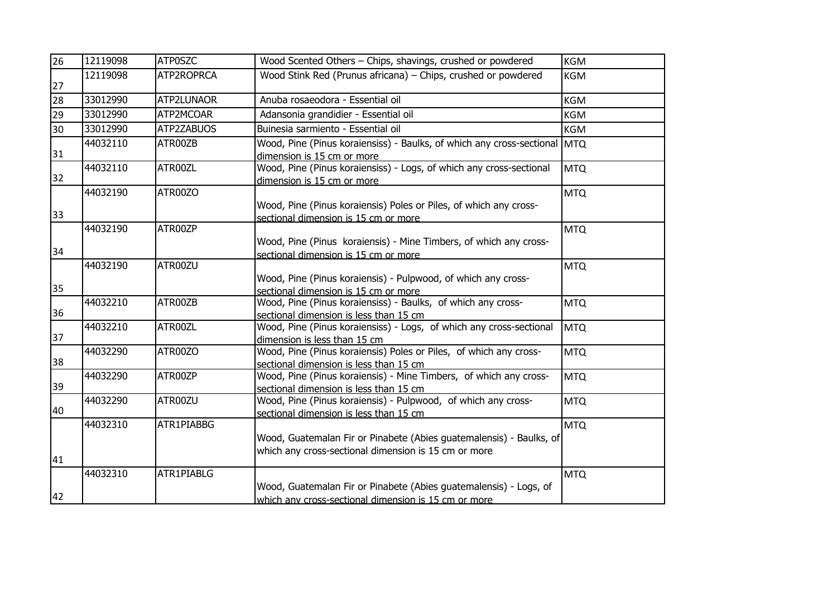| 26 | 12119098 | ATP0SZC    | Wood Scented Others - Chips, shavings, crushed or powdered                                                                  | KGM        |
|----|----------|------------|-----------------------------------------------------------------------------------------------------------------------------|------------|
| 27 | 12119098 | ATP2ROPRCA | Wood Stink Red (Prunus africana) – Chips, crushed or powdered                                                               | <b>KGM</b> |
| 28 | 33012990 | ATP2LUNAOR | Anuba rosaeodora - Essential oil                                                                                            | <b>KGM</b> |
| 29 | 33012990 | ATP2MCOAR  | Adansonia grandidier - Essential oil                                                                                        | <b>KGM</b> |
| 30 | 33012990 | ATP2ZABUOS | Buinesia sarmiento - Essential oil                                                                                          | KGM        |
| 31 | 44032110 | ATR00ZB    | Wood, Pine (Pinus koraiensiss) - Baulks, of which any cross-sectional MTQ<br>dimension is 15 cm or more                     |            |
| 32 | 44032110 | ATR00ZL    | Wood, Pine (Pinus koraiensiss) - Logs, of which any cross-sectional<br>dimension is 15 cm or more                           | <b>MTQ</b> |
| 33 | 44032190 | ATR00ZO    | Wood, Pine (Pinus koraiensis) Poles or Piles, of which any cross-<br>sectional dimension is 15 cm or more                   | <b>MTQ</b> |
| 34 | 44032190 | ATR00ZP    | Wood, Pine (Pinus koraiensis) - Mine Timbers, of which any cross-<br>sectional dimension is 15 cm or more                   | <b>MTQ</b> |
| 35 | 44032190 | ATR00ZU    | Wood, Pine (Pinus koraiensis) - Pulpwood, of which any cross-<br>sectional dimension is 15 cm or more                       | <b>MTQ</b> |
| 36 | 44032210 | ATR00ZB    | Wood, Pine (Pinus koraiensiss) - Baulks, of which any cross-<br>sectional dimension is less than 15 cm                      | <b>MTQ</b> |
| 37 | 44032210 | ATR00ZL    | Wood, Pine (Pinus koraiensiss) - Logs, of which any cross-sectional<br>dimension is less than 15 cm                         | <b>MTQ</b> |
| 38 | 44032290 | ATR00ZO    | Wood, Pine (Pinus koraiensis) Poles or Piles, of which any cross-<br>sectional dimension is less than 15 cm                 | <b>MTQ</b> |
| 39 | 44032290 | ATR00ZP    | Wood, Pine (Pinus koraiensis) - Mine Timbers, of which any cross-<br>sectional dimension is less than 15 cm                 | <b>MTQ</b> |
| 40 | 44032290 | ATR00ZU    | Wood, Pine (Pinus koraiensis) - Pulpwood, of which any cross-<br>sectional dimension is less than 15 cm                     | <b>MTQ</b> |
| 41 | 44032310 | ATR1PIABBG | Wood, Guatemalan Fir or Pinabete (Abies guatemalensis) - Baulks, of<br>which any cross-sectional dimension is 15 cm or more | <b>MTQ</b> |
| 42 | 44032310 | ATR1PIABLG | Wood, Guatemalan Fir or Pinabete (Abies guatemalensis) - Logs, of<br>which any cross-sectional dimension is 15 cm or more   | <b>MTQ</b> |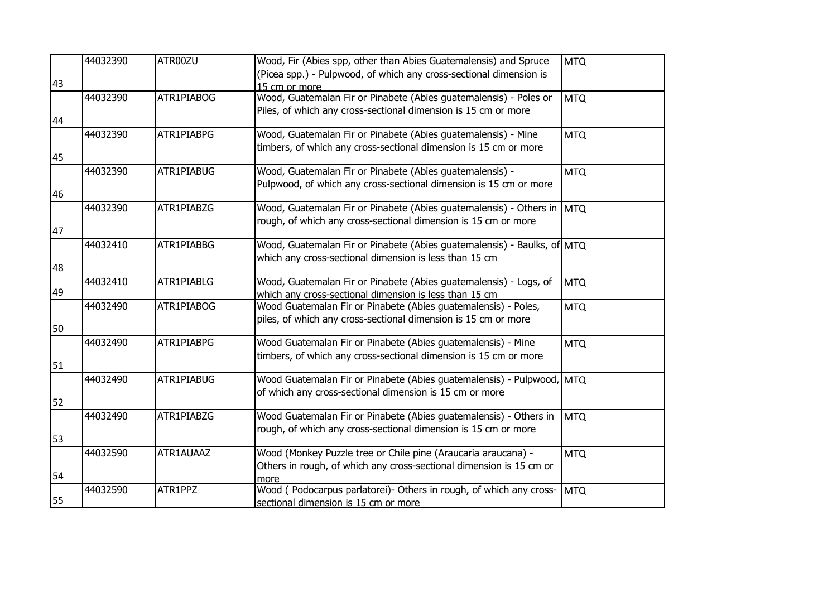|    | 44032390 | ATR00ZU    | Wood, Fir (Abies spp, other than Abies Guatemalensis) and Spruce        | <b>MTQ</b> |
|----|----------|------------|-------------------------------------------------------------------------|------------|
|    |          |            | (Picea spp.) - Pulpwood, of which any cross-sectional dimension is      |            |
| 43 |          |            | 15 cm or more                                                           |            |
|    | 44032390 | ATR1PIABOG | Wood, Guatemalan Fir or Pinabete (Abies guatemalensis) - Poles or       | <b>MTQ</b> |
|    |          |            | Piles, of which any cross-sectional dimension is 15 cm or more          |            |
| 44 |          |            |                                                                         |            |
|    | 44032390 | ATR1PIABPG | Wood, Guatemalan Fir or Pinabete (Abies guatemalensis) - Mine           | <b>MTQ</b> |
|    |          |            | timbers, of which any cross-sectional dimension is 15 cm or more        |            |
| 45 |          |            |                                                                         |            |
|    | 44032390 | ATR1PIABUG | Wood, Guatemalan Fir or Pinabete (Abies guatemalensis) -                | <b>MTQ</b> |
|    |          |            | Pulpwood, of which any cross-sectional dimension is 15 cm or more       |            |
| 46 |          |            |                                                                         |            |
|    | 44032390 | ATR1PIABZG | Wood, Guatemalan Fir or Pinabete (Abies guatemalensis) - Others in MTQ  |            |
|    |          |            | rough, of which any cross-sectional dimension is 15 cm or more          |            |
| 47 |          |            |                                                                         |            |
|    | 44032410 | ATR1PIABBG | Wood, Guatemalan Fir or Pinabete (Abies guatemalensis) - Baulks, of MTQ |            |
|    |          |            | which any cross-sectional dimension is less than 15 cm                  |            |
| 48 |          |            |                                                                         |            |
|    | 44032410 | ATR1PIABLG | Wood, Guatemalan Fir or Pinabete (Abies guatemalensis) - Logs, of       | <b>MTQ</b> |
| 49 |          |            | which any cross-sectional dimension is less than 15 cm                  |            |
|    | 44032490 | ATR1PIABOG | Wood Guatemalan Fir or Pinabete (Abies guatemalensis) - Poles,          | <b>MTQ</b> |
|    |          |            | piles, of which any cross-sectional dimension is 15 cm or more          |            |
| 50 |          |            |                                                                         |            |
|    | 44032490 | ATR1PIABPG | Wood Guatemalan Fir or Pinabete (Abies guatemalensis) - Mine            | <b>MTQ</b> |
|    |          |            | timbers, of which any cross-sectional dimension is 15 cm or more        |            |
| 51 |          |            |                                                                         |            |
|    | 44032490 | ATR1PIABUG | Wood Guatemalan Fir or Pinabete (Abies guatemalensis) - Pulpwood, MTQ   |            |
|    |          |            | of which any cross-sectional dimension is 15 cm or more                 |            |
| 52 |          |            |                                                                         |            |
|    | 44032490 | ATR1PIABZG | Wood Guatemalan Fir or Pinabete (Abies guatemalensis) - Others in       | <b>MTQ</b> |
|    |          |            | rough, of which any cross-sectional dimension is 15 cm or more          |            |
| 53 |          |            |                                                                         |            |
|    | 44032590 | ATR1AUAAZ  | Wood (Monkey Puzzle tree or Chile pine (Araucaria araucana) -           | <b>MTQ</b> |
|    |          |            | Others in rough, of which any cross-sectional dimension is 15 cm or     |            |
| 54 |          |            | more                                                                    |            |
|    | 44032590 | ATR1PPZ    | Wood (Podocarpus parlatorei)- Others in rough, of which any cross-      | <b>MTQ</b> |
| 55 |          |            | sectional dimension is 15 cm or more                                    |            |
|    |          |            |                                                                         |            |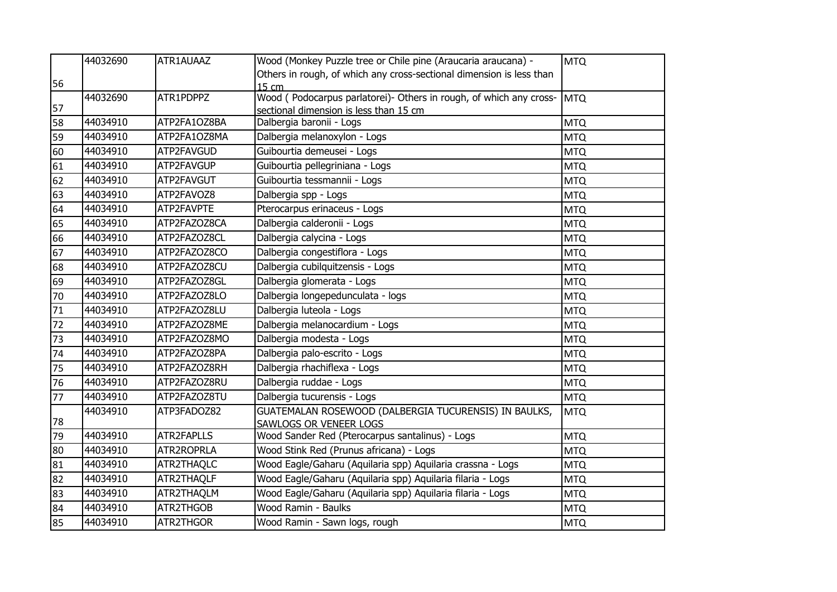|    | 44032690 | ATR1AUAAZ    | Wood (Monkey Puzzle tree or Chile pine (Araucaria araucana) -        | <b>MTQ</b> |
|----|----------|--------------|----------------------------------------------------------------------|------------|
|    |          |              | Others in rough, of which any cross-sectional dimension is less than |            |
| 56 |          |              | 15 cm                                                                |            |
|    | 44032690 | ATR1PDPPZ    | Wood (Podocarpus parlatorei)- Others in rough, of which any cross-   | <b>MTQ</b> |
| 57 |          |              | sectional dimension is less than 15 cm                               |            |
| 58 | 44034910 | ATP2FA1OZ8BA | Dalbergia baronii - Logs                                             | <b>MTQ</b> |
| 59 | 44034910 | ATP2FA1OZ8MA | Dalbergia melanoxylon - Logs                                         | <b>MTQ</b> |
| 60 | 44034910 | ATP2FAVGUD   | Guibourtia demeusei - Logs                                           | <b>MTQ</b> |
| 61 | 44034910 | ATP2FAVGUP   | Guibourtia pellegriniana - Logs                                      | <b>MTQ</b> |
| 62 | 44034910 | ATP2FAVGUT   | Guibourtia tessmannii - Logs                                         | <b>MTQ</b> |
| 63 | 44034910 | ATP2FAVOZ8   | Dalbergia spp - Logs                                                 | <b>MTQ</b> |
| 64 | 44034910 | ATP2FAVPTE   | Pterocarpus erinaceus - Logs                                         | <b>MTQ</b> |
| 65 | 44034910 | ATP2FAZOZ8CA | Dalbergia calderonii - Logs                                          | <b>MTQ</b> |
| 66 | 44034910 | ATP2FAZOZ8CL | Dalbergia calycina - Logs                                            | <b>MTQ</b> |
| 67 | 44034910 | ATP2FAZOZ8CO | Dalbergia congestiflora - Logs                                       | <b>MTQ</b> |
| 68 | 44034910 | ATP2FAZOZ8CU | Dalbergia cubilquitzensis - Logs                                     | <b>MTQ</b> |
| 69 | 44034910 | ATP2FAZOZ8GL | Dalbergia glomerata - Logs                                           | <b>MTQ</b> |
| 70 | 44034910 | ATP2FAZOZ8LO | Dalbergia longepedunculata - logs                                    | <b>MTQ</b> |
| 71 | 44034910 | ATP2FAZOZ8LU | Dalbergia luteola - Logs                                             | <b>MTQ</b> |
| 72 | 44034910 | ATP2FAZOZ8ME | Dalbergia melanocardium - Logs                                       | <b>MTQ</b> |
| 73 | 44034910 | ATP2FAZOZ8MO | Dalbergia modesta - Logs                                             | <b>MTQ</b> |
| 74 | 44034910 | ATP2FAZOZ8PA | Dalbergia palo-escrito - Logs                                        | <b>MTQ</b> |
| 75 | 44034910 | ATP2FAZOZ8RH | Dalbergia rhachiflexa - Logs                                         | <b>MTQ</b> |
| 76 | 44034910 | ATP2FAZOZ8RU | Dalbergia ruddae - Logs                                              | <b>MTQ</b> |
| 77 | 44034910 | ATP2FAZOZ8TU | Dalbergia tucurensis - Logs                                          | <b>MTQ</b> |
|    | 44034910 | ATP3FADOZ82  | GUATEMALAN ROSEWOOD (DALBERGIA TUCURENSIS) IN BAULKS,                | <b>MTQ</b> |
| 78 |          |              | SAWLOGS OR VENEER LOGS                                               |            |
| 79 | 44034910 | ATR2FAPLLS   | Wood Sander Red (Pterocarpus santalinus) - Logs                      | <b>MTQ</b> |
| 80 | 44034910 | ATR2ROPRLA   | Wood Stink Red (Prunus africana) - Logs                              | <b>MTQ</b> |
| 81 | 44034910 | ATR2THAQLC   | Wood Eagle/Gaharu (Aquilaria spp) Aquilaria crassna - Logs           | <b>MTQ</b> |
| 82 | 44034910 | ATR2THAQLF   | Wood Eagle/Gaharu (Aquilaria spp) Aquilaria filaria - Logs           | <b>MTQ</b> |
| 83 | 44034910 | ATR2THAQLM   | Wood Eagle/Gaharu (Aquilaria spp) Aquilaria filaria - Logs           | <b>MTQ</b> |
| 84 | 44034910 | ATR2THGOB    | Wood Ramin - Baulks                                                  | <b>MTQ</b> |
| 85 | 44034910 | ATR2THGOR    | Wood Ramin - Sawn logs, rough                                        | <b>MTQ</b> |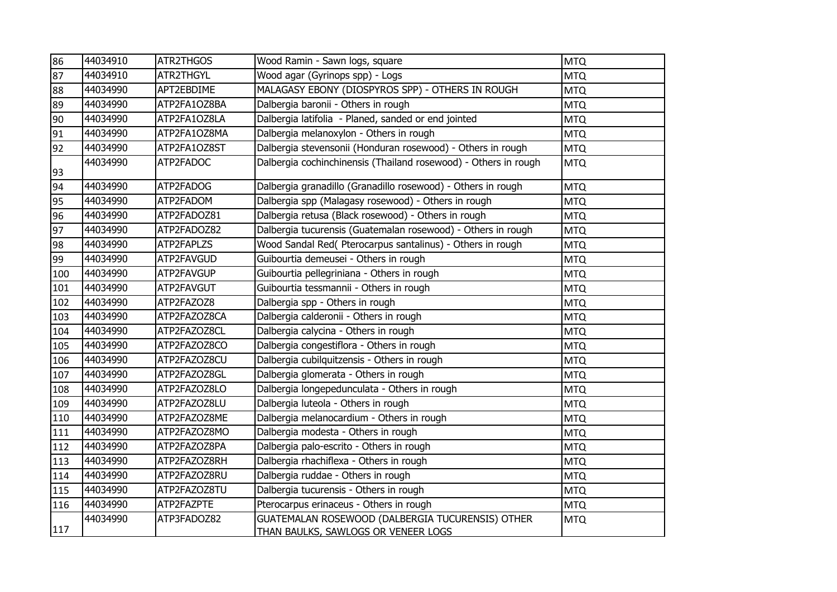| 86  | 44034910 | ATR2THGOS    | Wood Ramin - Sawn logs, square                                                          | <b>MTQ</b> |
|-----|----------|--------------|-----------------------------------------------------------------------------------------|------------|
| 87  | 44034910 | ATR2THGYL    | Wood agar (Gyrinops spp) - Logs                                                         | <b>MTQ</b> |
| 88  | 44034990 | APT2EBDIME   | MALAGASY EBONY (DIOSPYROS SPP) - OTHERS IN ROUGH                                        | <b>MTQ</b> |
| 89  | 44034990 | ATP2FA1OZ8BA | Dalbergia baronii - Others in rough                                                     | <b>MTQ</b> |
| 90  | 44034990 | ATP2FA1OZ8LA | Dalbergia latifolia - Planed, sanded or end jointed                                     | <b>MTQ</b> |
| 91  | 44034990 | ATP2FA1OZ8MA | Dalbergia melanoxylon - Others in rough                                                 | <b>MTQ</b> |
| 92  | 44034990 | ATP2FA1OZ8ST | Dalbergia stevensonii (Honduran rosewood) - Others in rough                             | <b>MTQ</b> |
| 93  | 44034990 | ATP2FADOC    | Dalbergia cochinchinensis (Thailand rosewood) - Others in rough                         | <b>MTQ</b> |
| 94  | 44034990 | ATP2FADOG    | Dalbergia granadillo (Granadillo rosewood) - Others in rough                            | <b>MTQ</b> |
| 95  | 44034990 | ATP2FADOM    | Dalbergia spp (Malagasy rosewood) - Others in rough                                     | <b>MTQ</b> |
| 96  | 44034990 | ATP2FADOZ81  | Dalbergia retusa (Black rosewood) - Others in rough                                     | <b>MTQ</b> |
| 97  | 44034990 | ATP2FADOZ82  | Dalbergia tucurensis (Guatemalan rosewood) - Others in rough                            | <b>MTQ</b> |
| 98  | 44034990 | ATP2FAPLZS   | Wood Sandal Red( Pterocarpus santalinus) - Others in rough                              | <b>MTQ</b> |
| 99  | 44034990 | ATP2FAVGUD   | Guibourtia demeusei - Others in rough                                                   | <b>MTQ</b> |
| 100 | 44034990 | ATP2FAVGUP   | Guibourtia pellegriniana - Others in rough                                              | <b>MTQ</b> |
| 101 | 44034990 | ATP2FAVGUT   | Guibourtia tessmannii - Others in rough                                                 | <b>MTQ</b> |
| 102 | 44034990 | ATP2FAZOZ8   | Dalbergia spp - Others in rough                                                         | <b>MTQ</b> |
| 103 | 44034990 | ATP2FAZOZ8CA | Dalbergia calderonii - Others in rough                                                  | <b>MTQ</b> |
| 104 | 44034990 | ATP2FAZOZ8CL | Dalbergia calycina - Others in rough                                                    | <b>MTQ</b> |
| 105 | 44034990 | ATP2FAZOZ8CO | Dalbergia congestiflora - Others in rough                                               | <b>MTQ</b> |
| 106 | 44034990 | ATP2FAZOZ8CU | Dalbergia cubilquitzensis - Others in rough                                             | <b>MTQ</b> |
| 107 | 44034990 | ATP2FAZOZ8GL | Dalbergia glomerata - Others in rough                                                   | <b>MTQ</b> |
| 108 | 44034990 | ATP2FAZOZ8LO | Dalbergia longepedunculata - Others in rough                                            | <b>MTQ</b> |
| 109 | 44034990 | ATP2FAZOZ8LU | Dalbergia luteola - Others in rough                                                     | <b>MTQ</b> |
| 110 | 44034990 | ATP2FAZOZ8ME | Dalbergia melanocardium - Others in rough                                               | <b>MTQ</b> |
| 111 | 44034990 | ATP2FAZOZ8MO | Dalbergia modesta - Others in rough                                                     | <b>MTQ</b> |
| 112 | 44034990 | ATP2FAZOZ8PA | Dalbergia palo-escrito - Others in rough                                                | <b>MTQ</b> |
| 113 | 44034990 | ATP2FAZOZ8RH | Dalbergia rhachiflexa - Others in rough                                                 | <b>MTQ</b> |
| 114 | 44034990 | ATP2FAZOZ8RU | Dalbergia ruddae - Others in rough                                                      | <b>MTQ</b> |
| 115 | 44034990 | ATP2FAZOZ8TU | Dalbergia tucurensis - Others in rough                                                  | <b>MTQ</b> |
| 116 | 44034990 | ATP2FAZPTE   | Pterocarpus erinaceus - Others in rough                                                 | <b>MTQ</b> |
| 117 | 44034990 | ATP3FADOZ82  | GUATEMALAN ROSEWOOD (DALBERGIA TUCURENSIS) OTHER<br>THAN BAULKS, SAWLOGS OR VENEER LOGS | <b>MTQ</b> |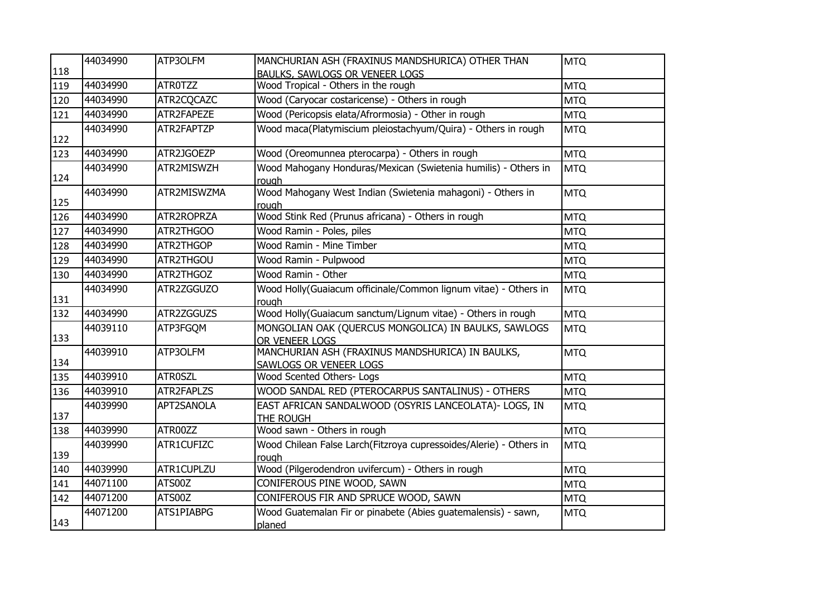|     | 44034990 | ATP3OLFM       | MANCHURIAN ASH (FRAXINUS MANDSHURICA) OTHER THAN                            | <b>MTQ</b> |
|-----|----------|----------------|-----------------------------------------------------------------------------|------------|
| 118 |          |                | BAULKS, SAWLOGS OR VENEER LOGS                                              |            |
| 119 | 44034990 | <b>ATROTZZ</b> | Wood Tropical - Others in the rough                                         | <b>MTQ</b> |
| 120 | 44034990 | ATR2CQCAZC     | Wood (Caryocar costaricense) - Others in rough                              | <b>MTQ</b> |
| 121 | 44034990 | ATR2FAPEZE     | Wood (Pericopsis elata/Afrormosia) - Other in rough                         | <b>MTQ</b> |
| 122 | 44034990 | ATR2FAPTZP     | Wood maca(Platymiscium pleiostachyum/Quira) - Others in rough               | <b>MTQ</b> |
| 123 | 44034990 | ATR2JGOEZP     | Wood (Oreomunnea pterocarpa) - Others in rough                              | <b>MTQ</b> |
| 124 | 44034990 | ATR2MISWZH     | Wood Mahogany Honduras/Mexican (Swietenia humilis) - Others in<br>rough     | <b>MTQ</b> |
| 125 | 44034990 | ATR2MISWZMA    | Wood Mahogany West Indian (Swietenia mahagoni) - Others in<br>rough         | <b>MTQ</b> |
| 126 | 44034990 | ATR2ROPRZA     | Wood Stink Red (Prunus africana) - Others in rough                          | <b>MTQ</b> |
| 127 | 44034990 | ATR2THGOO      | Wood Ramin - Poles, piles                                                   | <b>MTQ</b> |
| 128 | 44034990 | ATR2THGOP      | Wood Ramin - Mine Timber                                                    | <b>MTQ</b> |
| 129 | 44034990 | ATR2THGOU      | Wood Ramin - Pulpwood                                                       | <b>MTQ</b> |
| 130 | 44034990 | ATR2THGOZ      | Wood Ramin - Other                                                          | <b>MTQ</b> |
| 131 | 44034990 | ATR2ZGGUZO     | Wood Holly(Guaiacum officinale/Common lignum vitae) - Others in<br>rough    | <b>MTQ</b> |
| 132 | 44034990 | ATR2ZGGUZS     | Wood Holly(Guaiacum sanctum/Lignum vitae) - Others in rough                 | <b>MTQ</b> |
| 133 | 44039110 | ATP3FGQM       | MONGOLIAN OAK (QUERCUS MONGOLICA) IN BAULKS, SAWLOGS<br>OR VENEER LOGS      | <b>MTQ</b> |
| 134 | 44039910 | ATP3OLFM       | MANCHURIAN ASH (FRAXINUS MANDSHURICA) IN BAULKS,<br>SAWLOGS OR VENEER LOGS  | <b>MTQ</b> |
| 135 | 44039910 | <b>ATROSZL</b> | Wood Scented Others- Logs                                                   | <b>MTQ</b> |
| 136 | 44039910 | ATR2FAPLZS     | WOOD SANDAL RED (PTEROCARPUS SANTALINUS) - OTHERS                           | <b>MTQ</b> |
| 137 | 44039990 | APT2SANOLA     | EAST AFRICAN SANDALWOOD (OSYRIS LANCEOLATA)- LOGS, IN<br>THE ROUGH          | <b>MTQ</b> |
| 138 | 44039990 | ATR00ZZ        | Wood sawn - Others in rough                                                 | <b>MTQ</b> |
| 139 | 44039990 | ATR1CUFIZC     | Wood Chilean False Larch(Fitzroya cupressoides/Alerie) - Others in<br>rough | <b>MTQ</b> |
| 140 | 44039990 | ATR1CUPLZU     | Wood (Pilgerodendron uvifercum) - Others in rough                           | <b>MTQ</b> |
| 141 | 44071100 | ATS00Z         | CONIFEROUS PINE WOOD, SAWN                                                  | <b>MTQ</b> |
| 142 | 44071200 | ATS00Z         | CONIFEROUS FIR AND SPRUCE WOOD, SAWN                                        | <b>MTQ</b> |
| 143 | 44071200 | ATS1PIABPG     | Wood Guatemalan Fir or pinabete (Abies guatemalensis) - sawn,<br>planed     | <b>MTQ</b> |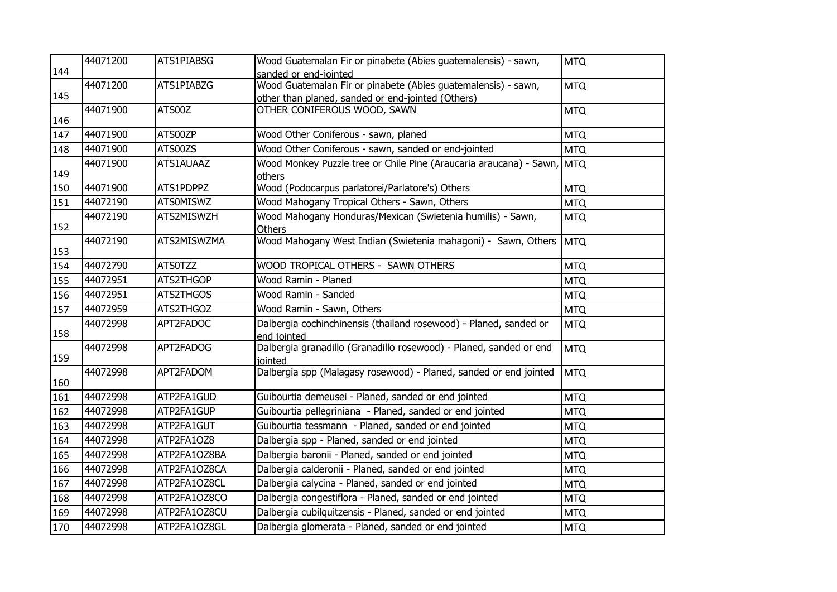|     | 44071200 | ATS1PIABSG       | Wood Guatemalan Fir or pinabete (Abies guatemalensis) - sawn,                    | <b>MTQ</b> |
|-----|----------|------------------|----------------------------------------------------------------------------------|------------|
| 144 |          |                  | sanded or end-jointed                                                            |            |
| 145 | 44071200 | ATS1PIABZG       | Wood Guatemalan Fir or pinabete (Abies guatemalensis) - sawn,                    | <b>MTQ</b> |
|     | 44071900 | ATS00Z           | other than planed, sanded or end-jointed (Others)<br>OTHER CONIFEROUS WOOD, SAWN |            |
| 146 |          |                  |                                                                                  | <b>MTQ</b> |
| 147 | 44071900 | ATS00ZP          | Wood Other Coniferous - sawn, planed                                             | <b>MTQ</b> |
| 148 | 44071900 | ATS00ZS          | Wood Other Coniferous - sawn, sanded or end-jointed                              | <b>MTQ</b> |
| 149 | 44071900 | ATS1AUAAZ        | Wood Monkey Puzzle tree or Chile Pine (Araucaria araucana) - Sawn, MTQ<br>others |            |
| 150 | 44071900 | ATS1PDPPZ        | Wood (Podocarpus parlatorei/Parlatore's) Others                                  | <b>MTQ</b> |
| 151 | 44072190 | <b>ATSOMISWZ</b> | Wood Mahogany Tropical Others - Sawn, Others                                     | <b>MTQ</b> |
| 152 | 44072190 | ATS2MISWZH       | Wood Mahogany Honduras/Mexican (Swietenia humilis) - Sawn,<br><b>Others</b>      | <b>MTQ</b> |
| 153 | 44072190 | ATS2MISWZMA      | Wood Mahogany West Indian (Swietenia mahagoni) - Sawn, Others                    | <b>MTQ</b> |
| 154 | 44072790 | ATS0TZZ          | WOOD TROPICAL OTHERS - SAWN OTHERS                                               | <b>MTQ</b> |
| 155 | 44072951 | ATS2THGOP        | Wood Ramin - Planed                                                              | <b>MTQ</b> |
| 156 | 44072951 | ATS2THGOS        | Wood Ramin - Sanded                                                              | <b>MTQ</b> |
| 157 | 44072959 | ATS2THGOZ        | Wood Ramin - Sawn, Others                                                        | <b>MTQ</b> |
| 158 | 44072998 | APT2FADOC        | Dalbergia cochinchinensis (thailand rosewood) - Planed, sanded or<br>end jointed | <b>MTQ</b> |
| 159 | 44072998 | APT2FADOG        | Dalbergia granadillo (Granadillo rosewood) - Planed, sanded or end<br>jointed    | <b>MTQ</b> |
| 160 | 44072998 | APT2FADOM        | Dalbergia spp (Malagasy rosewood) - Planed, sanded or end jointed                | MTQ        |
| 161 | 44072998 | ATP2FA1GUD       | Guibourtia demeusei - Planed, sanded or end jointed                              | <b>MTQ</b> |
| 162 | 44072998 | ATP2FA1GUP       | Guibourtia pellegriniana - Planed, sanded or end jointed                         | <b>MTQ</b> |
| 163 | 44072998 | ATP2FA1GUT       | Guibourtia tessmann - Planed, sanded or end jointed                              | <b>MTQ</b> |
| 164 | 44072998 | ATP2FA1OZ8       | Dalbergia spp - Planed, sanded or end jointed                                    | <b>MTQ</b> |
| 165 | 44072998 | ATP2FA1OZ8BA     | Dalbergia baronii - Planed, sanded or end jointed                                | <b>MTQ</b> |
| 166 | 44072998 | ATP2FA1OZ8CA     | Dalbergia calderonii - Planed, sanded or end jointed                             | <b>MTQ</b> |
| 167 | 44072998 | ATP2FA1OZ8CL     | Dalbergia calycina - Planed, sanded or end jointed                               | <b>MTQ</b> |
| 168 | 44072998 | ATP2FA1OZ8CO     | Dalbergia congestiflora - Planed, sanded or end jointed                          | <b>MTQ</b> |
| 169 | 44072998 | ATP2FA1OZ8CU     | Dalbergia cubilquitzensis - Planed, sanded or end jointed                        | <b>MTQ</b> |
| 170 | 44072998 | ATP2FA1OZ8GL     | Dalbergia glomerata - Planed, sanded or end jointed                              | <b>MTQ</b> |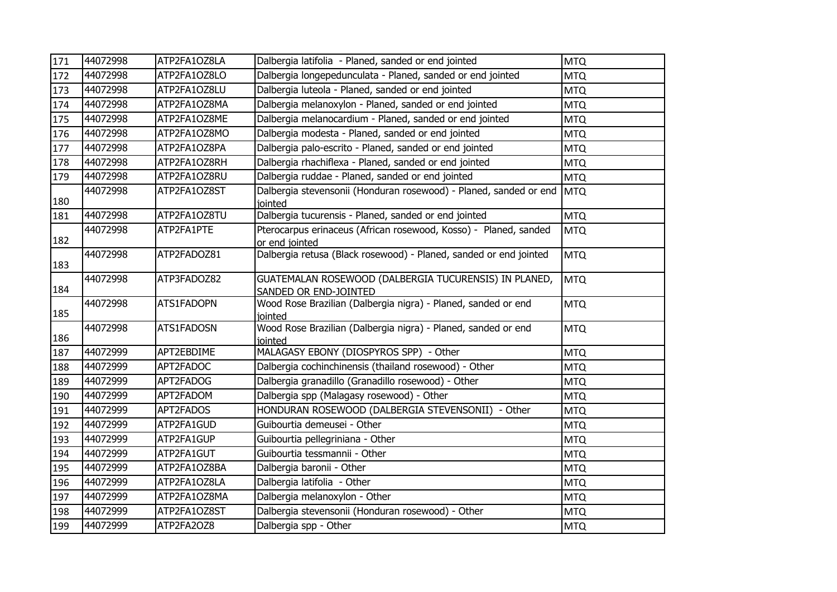| 171 | 44072998 | ATP2FA1OZ8LA | Dalbergia latifolia - Planed, sanded or end jointed                                | <b>MTQ</b> |
|-----|----------|--------------|------------------------------------------------------------------------------------|------------|
| 172 | 44072998 | ATP2FA1OZ8LO | Dalbergia longepedunculata - Planed, sanded or end jointed                         | <b>MTQ</b> |
| 173 | 44072998 | ATP2FA1OZ8LU | Dalbergia luteola - Planed, sanded or end jointed                                  | <b>MTQ</b> |
| 174 | 44072998 | ATP2FA1OZ8MA | Dalbergia melanoxylon - Planed, sanded or end jointed                              | <b>MTQ</b> |
| 175 | 44072998 | ATP2FA1OZ8ME | Dalbergia melanocardium - Planed, sanded or end jointed                            | <b>MTQ</b> |
| 176 | 44072998 | ATP2FA1OZ8MO | Dalbergia modesta - Planed, sanded or end jointed                                  | <b>MTQ</b> |
| 177 | 44072998 | ATP2FA1OZ8PA | Dalbergia palo-escrito - Planed, sanded or end jointed                             | <b>MTQ</b> |
| 178 | 44072998 | ATP2FA1OZ8RH | Dalbergia rhachiflexa - Planed, sanded or end jointed                              | <b>MTQ</b> |
| 179 | 44072998 | ATP2FA1OZ8RU | Dalbergia ruddae - Planed, sanded or end jointed                                   | <b>MTQ</b> |
| 180 | 44072998 | ATP2FA1OZ8ST | Dalbergia stevensonii (Honduran rosewood) - Planed, sanded or end<br>jointed       | <b>MTQ</b> |
| 181 | 44072998 | ATP2FA1OZ8TU | Dalbergia tucurensis - Planed, sanded or end jointed                               | <b>MTQ</b> |
| 182 | 44072998 | ATP2FA1PTE   | Pterocarpus erinaceus (African rosewood, Kosso) - Planed, sanded<br>or end jointed | <b>MTQ</b> |
| 183 | 44072998 | ATP2FADOZ81  | Dalbergia retusa (Black rosewood) - Planed, sanded or end jointed                  | <b>MTQ</b> |
| 184 | 44072998 | ATP3FADOZ82  | GUATEMALAN ROSEWOOD (DALBERGIA TUCURENSIS) IN PLANED,<br>SANDED OR END-JOINTED     | <b>MTQ</b> |
| 185 | 44072998 | ATS1FADOPN   | Wood Rose Brazilian (Dalbergia nigra) - Planed, sanded or end<br>jointed           | <b>MTQ</b> |
| 186 | 44072998 | ATS1FADOSN   | Wood Rose Brazilian (Dalbergia nigra) - Planed, sanded or end<br>iointed           | <b>MTQ</b> |
| 187 | 44072999 | APT2EBDIME   | MALAGASY EBONY (DIOSPYROS SPP) - Other                                             | <b>MTQ</b> |
| 188 | 44072999 | APT2FADOC    | Dalbergia cochinchinensis (thailand rosewood) - Other                              | <b>MTQ</b> |
| 189 | 44072999 | APT2FADOG    | Dalbergia granadillo (Granadillo rosewood) - Other                                 | <b>MTQ</b> |
| 190 | 44072999 | APT2FADOM    | Dalbergia spp (Malagasy rosewood) - Other                                          | <b>MTQ</b> |
| 191 | 44072999 | APT2FADOS    | HONDURAN ROSEWOOD (DALBERGIA STEVENSONII) - Other                                  | <b>MTQ</b> |
| 192 | 44072999 | ATP2FA1GUD   | Guibourtia demeusei - Other                                                        | <b>MTQ</b> |
| 193 | 44072999 | ATP2FA1GUP   | Guibourtia pellegriniana - Other                                                   | <b>MTQ</b> |
| 194 | 44072999 | ATP2FA1GUT   | Guibourtia tessmannii - Other                                                      | <b>MTQ</b> |
| 195 | 44072999 | ATP2FA1OZ8BA | Dalbergia baronii - Other                                                          | <b>MTQ</b> |
| 196 | 44072999 | ATP2FA1OZ8LA | Dalbergia latifolia - Other                                                        | <b>MTQ</b> |
| 197 | 44072999 | ATP2FA1OZ8MA | Dalbergia melanoxylon - Other                                                      | <b>MTQ</b> |
| 198 | 44072999 | ATP2FA1OZ8ST | Dalbergia stevensonii (Honduran rosewood) - Other                                  | <b>MTQ</b> |
| 199 | 44072999 | ATP2FA2OZ8   | Dalbergia spp - Other                                                              | <b>MTQ</b> |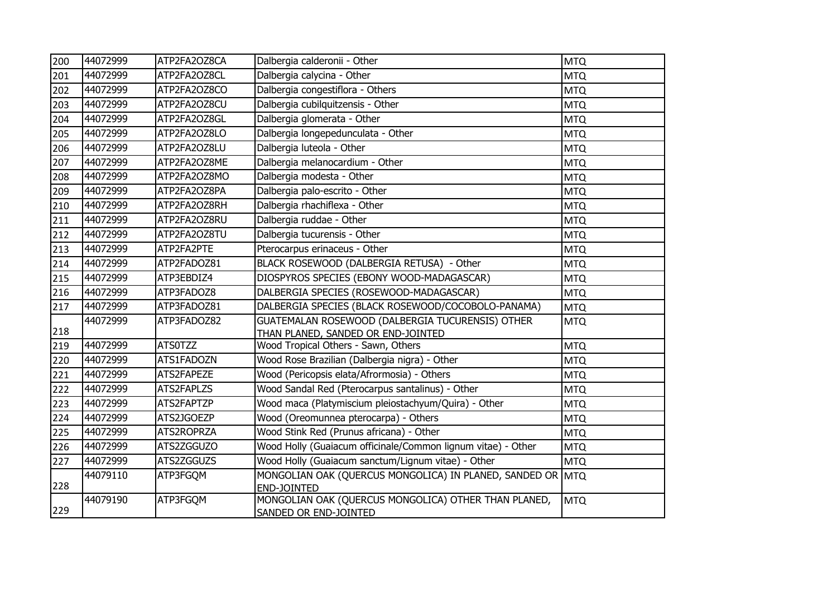| 200 | 44072999 | ATP2FA2OZ8CA   | Dalbergia calderonii - Other                                 | <b>MTQ</b> |
|-----|----------|----------------|--------------------------------------------------------------|------------|
| 201 | 44072999 | ATP2FA2OZ8CL   | Dalbergia calycina - Other                                   | <b>MTQ</b> |
| 202 | 44072999 | ATP2FA2OZ8CO   | Dalbergia congestiflora - Others                             | <b>MTQ</b> |
| 203 | 44072999 | ATP2FA2OZ8CU   | Dalbergia cubilquitzensis - Other                            | <b>MTQ</b> |
| 204 | 44072999 | ATP2FA2OZ8GL   | Dalbergia glomerata - Other                                  | <b>MTQ</b> |
| 205 | 44072999 | ATP2FA2OZ8LO   | Dalbergia longepedunculata - Other                           | <b>MTQ</b> |
| 206 | 44072999 | ATP2FA2OZ8LU   | Dalbergia luteola - Other                                    | <b>MTQ</b> |
| 207 | 44072999 | ATP2FA2OZ8ME   | Dalbergia melanocardium - Other                              | <b>MTQ</b> |
| 208 | 44072999 | ATP2FA2OZ8MO   | Dalbergia modesta - Other                                    | <b>MTQ</b> |
| 209 | 44072999 | ATP2FA2OZ8PA   | Dalbergia palo-escrito - Other                               | <b>MTQ</b> |
| 210 | 44072999 | ATP2FA2OZ8RH   | Dalbergia rhachiflexa - Other                                | <b>MTQ</b> |
| 211 | 44072999 | ATP2FA2OZ8RU   | Dalbergia ruddae - Other                                     | <b>MTQ</b> |
| 212 | 44072999 | ATP2FA2OZ8TU   | Dalbergia tucurensis - Other                                 | <b>MTQ</b> |
| 213 | 44072999 | ATP2FA2PTE     | Pterocarpus erinaceus - Other                                | <b>MTQ</b> |
| 214 | 44072999 | ATP2FADOZ81    | BLACK ROSEWOOD (DALBERGIA RETUSA) - Other                    | <b>MTQ</b> |
| 215 | 44072999 | ATP3EBDIZ4     | DIOSPYROS SPECIES (EBONY WOOD-MADAGASCAR)                    | <b>MTQ</b> |
| 216 | 44072999 | ATP3FADOZ8     | DALBERGIA SPECIES (ROSEWOOD-MADAGASCAR)                      | <b>MTQ</b> |
| 217 | 44072999 | ATP3FADOZ81    | DALBERGIA SPECIES (BLACK ROSEWOOD/COCOBOLO-PANAMA)           | <b>MTQ</b> |
|     | 44072999 | ATP3FADOZ82    | GUATEMALAN ROSEWOOD (DALBERGIA TUCURENSIS) OTHER             | <b>MTQ</b> |
| 218 |          |                | THAN PLANED, SANDED OR END-JOINTED                           |            |
| 219 | 44072999 | <b>ATS0TZZ</b> | Wood Tropical Others - Sawn, Others                          | <b>MTQ</b> |
| 220 | 44072999 | ATS1FADOZN     | Wood Rose Brazilian (Dalbergia nigra) - Other                | <b>MTQ</b> |
| 221 | 44072999 | ATS2FAPEZE     | Wood (Pericopsis elata/Afrormosia) - Others                  | <b>MTQ</b> |
| 222 | 44072999 | ATS2FAPLZS     | Wood Sandal Red (Pterocarpus santalinus) - Other             | <b>MTQ</b> |
| 223 | 44072999 | ATS2FAPTZP     | Wood maca (Platymiscium pleiostachyum/Quira) - Other         | <b>MTQ</b> |
| 224 | 44072999 | ATS2JGOEZP     | Wood (Oreomunnea pterocarpa) - Others                        | <b>MTQ</b> |
| 225 | 44072999 | ATS2ROPRZA     | Wood Stink Red (Prunus africana) - Other                     | <b>MTQ</b> |
| 226 | 44072999 | ATS2ZGGUZO     | Wood Holly (Guaiacum officinale/Common lignum vitae) - Other | <b>MTQ</b> |
| 227 | 44072999 | ATS2ZGGUZS     | Wood Holly (Guaiacum sanctum/Lignum vitae) - Other           | <b>MTQ</b> |
|     | 44079110 | ATP3FGQM       | MONGOLIAN OAK (QUERCUS MONGOLICA) IN PLANED, SANDED OR MTQ   |            |
| 228 |          |                | END-JOINTED                                                  |            |
| 229 | 44079190 | ATP3FGQM       | MONGOLIAN OAK (QUERCUS MONGOLICA) OTHER THAN PLANED,         | <b>MTQ</b> |
|     |          |                | SANDED OR END-JOINTED                                        |            |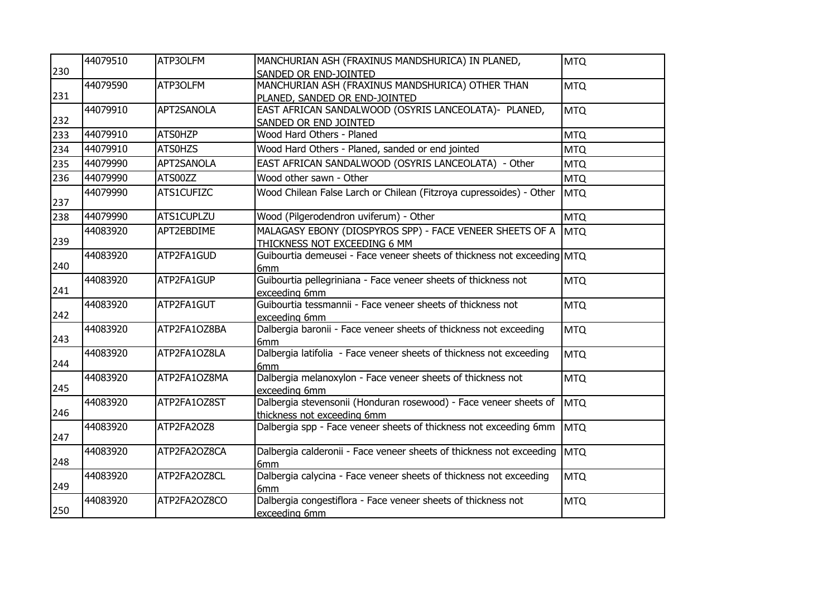|     | 44079510 | ATP3OLFM       | MANCHURIAN ASH (FRAXINUS MANDSHURICA) IN PLANED,                        | <b>MTQ</b> |
|-----|----------|----------------|-------------------------------------------------------------------------|------------|
| 230 |          |                | SANDED OR END-JOINTED                                                   |            |
|     | 44079590 | ATP3OLFM       | MANCHURIAN ASH (FRAXINUS MANDSHURICA) OTHER THAN                        | <b>MTQ</b> |
| 231 |          |                | PLANED, SANDED OR END-JOINTED                                           |            |
|     | 44079910 | APT2SANOLA     | EAST AFRICAN SANDALWOOD (OSYRIS LANCEOLATA)- PLANED,                    | <b>MTQ</b> |
| 232 |          |                | SANDED OR END JOINTED                                                   |            |
| 233 | 44079910 | ATS0HZP        | Wood Hard Others - Planed                                               | <b>MTQ</b> |
| 234 | 44079910 | <b>ATSOHZS</b> | Wood Hard Others - Planed, sanded or end jointed                        | <b>MTQ</b> |
| 235 | 44079990 | APT2SANOLA     | EAST AFRICAN SANDALWOOD (OSYRIS LANCEOLATA) - Other                     | <b>MTQ</b> |
| 236 | 44079990 | ATS00ZZ        | Wood other sawn - Other                                                 | <b>MTQ</b> |
|     | 44079990 | ATS1CUFIZC     | Wood Chilean False Larch or Chilean (Fitzroya cupressoides) - Other     | <b>MTQ</b> |
| 237 |          |                |                                                                         |            |
| 238 | 44079990 | ATS1CUPLZU     | Wood (Pilgerodendron uviferum) - Other                                  | <b>MTQ</b> |
|     | 44083920 | APT2EBDIME     | MALAGASY EBONY (DIOSPYROS SPP) - FACE VENEER SHEETS OF A                | <b>MTQ</b> |
| 239 |          |                | THICKNESS NOT EXCEEDING 6 MM                                            |            |
|     | 44083920 | ATP2FA1GUD     | Guibourtia demeusei - Face veneer sheets of thickness not exceeding MTQ |            |
| 240 |          |                | 6 <sub>mm</sub>                                                         |            |
|     | 44083920 | ATP2FA1GUP     | Guibourtia pellegriniana - Face veneer sheets of thickness not          | <b>MTQ</b> |
| 241 |          |                | exceeding 6mm                                                           |            |
|     | 44083920 | ATP2FA1GUT     | Guibourtia tessmannii - Face veneer sheets of thickness not             | <b>MTQ</b> |
| 242 |          |                | exceeding 6mm                                                           |            |
|     | 44083920 | ATP2FA1OZ8BA   | Dalbergia baronii - Face veneer sheets of thickness not exceeding       | <b>MTQ</b> |
| 243 |          |                | 6mm                                                                     |            |
|     | 44083920 | ATP2FA1OZ8LA   | Dalbergia latifolia - Face veneer sheets of thickness not exceeding     | <b>MTQ</b> |
| 244 |          |                | 6mm                                                                     |            |
|     | 44083920 | ATP2FA1OZ8MA   | Dalbergia melanoxylon - Face veneer sheets of thickness not             | <b>MTQ</b> |
| 245 |          |                | exceeding 6mm                                                           |            |
|     | 44083920 | ATP2FA1OZ8ST   | Dalbergia stevensonii (Honduran rosewood) - Face veneer sheets of       | MTQ        |
| 246 |          |                | thickness not exceeding 6mm                                             |            |
| 247 | 44083920 | ATP2FA2OZ8     | Dalbergia spp - Face veneer sheets of thickness not exceeding 6mm       | MTQ        |
|     | 44083920 | ATP2FA2OZ8CA   | Dalbergia calderonii - Face veneer sheets of thickness not exceeding    |            |
| 248 |          |                | 6mm                                                                     | <b>MTQ</b> |
|     | 44083920 | ATP2FA2OZ8CL   | Dalbergia calycina - Face veneer sheets of thickness not exceeding      | <b>MTQ</b> |
| 249 |          |                | 6 <sub>mm</sub>                                                         |            |
|     | 44083920 | ATP2FA2OZ8CO   | Dalbergia congestiflora - Face veneer sheets of thickness not           | <b>MTQ</b> |
| 250 |          |                | exceeding 6mm                                                           |            |
|     |          |                |                                                                         |            |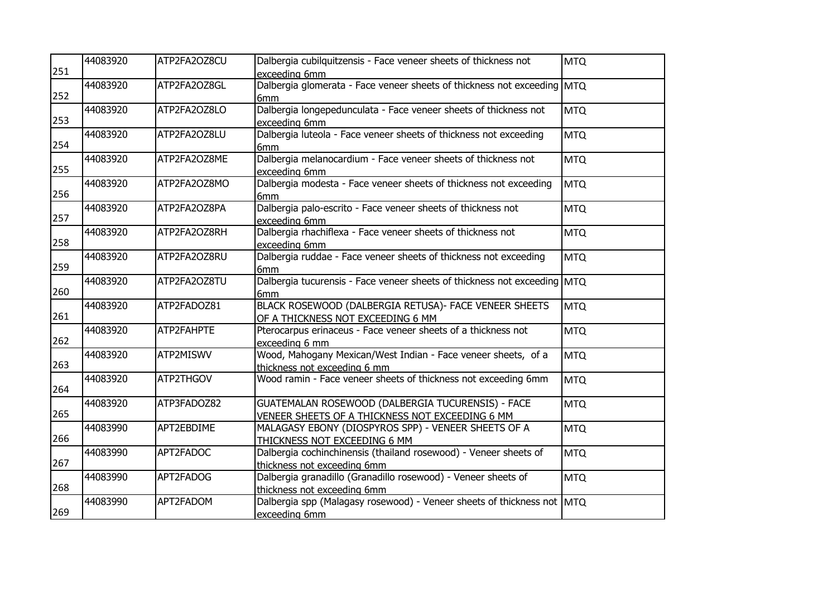| 251 | 44083920 | ATP2FA2OZ8CU | Dalbergia cubilquitzensis - Face veneer sheets of thickness not<br>exceeding 6mm                     | <b>MTQ</b> |
|-----|----------|--------------|------------------------------------------------------------------------------------------------------|------------|
| 252 | 44083920 | ATP2FA2OZ8GL | Dalbergia glomerata - Face veneer sheets of thickness not exceeding MTQ<br>6mm                       |            |
| 253 | 44083920 | ATP2FA2OZ8LO | Dalbergia longepedunculata - Face veneer sheets of thickness not<br>exceeding 6mm                    | <b>MTQ</b> |
| 254 | 44083920 | ATP2FA2OZ8LU | Dalbergia luteola - Face veneer sheets of thickness not exceeding<br>6 <sub>mm</sub>                 | <b>MTQ</b> |
| 255 | 44083920 | ATP2FA2OZ8ME | Dalbergia melanocardium - Face veneer sheets of thickness not<br>exceeding 6mm                       | <b>MTQ</b> |
| 256 | 44083920 | ATP2FA2OZ8MO | Dalbergia modesta - Face veneer sheets of thickness not exceeding<br>6mm                             | <b>MTQ</b> |
| 257 | 44083920 | ATP2FA2OZ8PA | Dalbergia palo-escrito - Face veneer sheets of thickness not<br>exceeding 6mm                        | <b>MTQ</b> |
| 258 | 44083920 | ATP2FA2OZ8RH | Dalbergia rhachiflexa - Face veneer sheets of thickness not<br>exceeding 6mm                         | <b>MTQ</b> |
| 259 | 44083920 | ATP2FA2OZ8RU | Dalbergia ruddae - Face veneer sheets of thickness not exceeding<br>6mm                              | <b>MTQ</b> |
| 260 | 44083920 | ATP2FA2OZ8TU | Dalbergia tucurensis - Face veneer sheets of thickness not exceeding MTQ<br>6 <sub>mm</sub>          |            |
| 261 | 44083920 | ATP2FADOZ81  | BLACK ROSEWOOD (DALBERGIA RETUSA)- FACE VENEER SHEETS<br>OF A THICKNESS NOT EXCEEDING 6 MM           | <b>MTQ</b> |
| 262 | 44083920 | ATP2FAHPTE   | Pterocarpus erinaceus - Face veneer sheets of a thickness not<br>exceeding 6 mm                      | <b>MTQ</b> |
| 263 | 44083920 | ATP2MISWV    | Wood, Mahogany Mexican/West Indian - Face veneer sheets, of a<br>thickness not exceeding 6 mm        | <b>MTQ</b> |
| 264 | 44083920 | ATP2THGOV    | Wood ramin - Face veneer sheets of thickness not exceeding 6mm                                       | <b>MTQ</b> |
| 265 | 44083920 | ATP3FADOZ82  | GUATEMALAN ROSEWOOD (DALBERGIA TUCURENSIS) - FACE<br>VENEER SHEETS OF A THICKNESS NOT EXCEEDING 6 MM | <b>MTQ</b> |
| 266 | 44083990 | APT2EBDIME   | MALAGASY EBONY (DIOSPYROS SPP) - VENEER SHEETS OF A<br>THICKNESS NOT EXCEEDING 6 MM                  | <b>MTQ</b> |
| 267 | 44083990 | APT2FADOC    | Dalbergia cochinchinensis (thailand rosewood) - Veneer sheets of<br>thickness not exceeding 6mm      | <b>MTQ</b> |
| 268 | 44083990 | APT2FADOG    | Dalbergia granadillo (Granadillo rosewood) - Veneer sheets of<br>thickness not exceeding 6mm         | <b>MTQ</b> |
| 269 | 44083990 | APT2FADOM    | Dalbergia spp (Malagasy rosewood) - Veneer sheets of thickness not MTQ<br>exceeding 6mm              |            |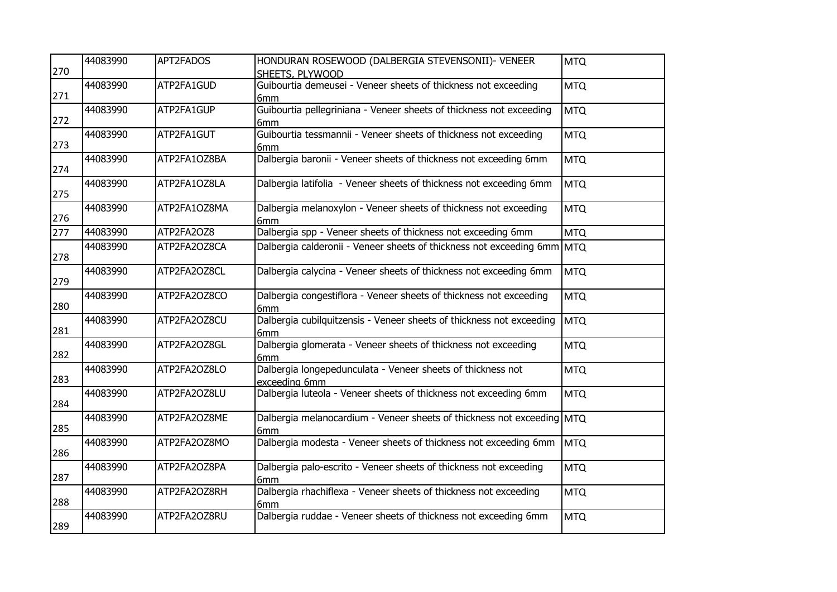| 270 | 44083990 | APT2FADOS    | HONDURAN ROSEWOOD (DALBERGIA STEVENSONII)- VENEER<br>SHEETS, PLYWOOD                 | <b>MTQ</b> |
|-----|----------|--------------|--------------------------------------------------------------------------------------|------------|
| 271 | 44083990 | ATP2FA1GUD   | Guibourtia demeusei - Veneer sheets of thickness not exceeding<br>6mm                | <b>MTQ</b> |
| 272 | 44083990 | ATP2FA1GUP   | Guibourtia pellegriniana - Veneer sheets of thickness not exceeding<br>6mm           | <b>MTQ</b> |
| 273 | 44083990 | ATP2FA1GUT   | Guibourtia tessmannii - Veneer sheets of thickness not exceeding<br>6mm              | <b>MTQ</b> |
| 274 | 44083990 | ATP2FA1OZ8BA | Dalbergia baronii - Veneer sheets of thickness not exceeding 6mm                     | <b>MTQ</b> |
| 275 | 44083990 | ATP2FA1OZ8LA | Dalbergia latifolia - Veneer sheets of thickness not exceeding 6mm                   | <b>MTQ</b> |
| 276 | 44083990 | ATP2FA1OZ8MA | Dalbergia melanoxylon - Veneer sheets of thickness not exceeding<br>6mm              | <b>MTQ</b> |
| 277 | 44083990 | ATP2FA2OZ8   | Dalbergia spp - Veneer sheets of thickness not exceeding 6mm                         | <b>MTQ</b> |
| 278 | 44083990 | ATP2FA2OZ8CA | Dalbergia calderonii - Veneer sheets of thickness not exceeding 6mm                  | <b>MTQ</b> |
| 279 | 44083990 | ATP2FA2OZ8CL | Dalbergia calycina - Veneer sheets of thickness not exceeding 6mm                    | <b>MTQ</b> |
| 280 | 44083990 | ATP2FA2OZ8CO | Dalbergia congestiflora - Veneer sheets of thickness not exceeding<br>6mm            | <b>MTQ</b> |
| 281 | 44083990 | ATP2FA2OZ8CU | Dalbergia cubilquitzensis - Veneer sheets of thickness not exceeding<br>6mm          | <b>MTQ</b> |
| 282 | 44083990 | ATP2FA2OZ8GL | Dalbergia glomerata - Veneer sheets of thickness not exceeding<br>6 <sub>mm</sub>    | <b>MTQ</b> |
| 283 | 44083990 | ATP2FA2OZ8LO | Dalbergia longepedunculata - Veneer sheets of thickness not<br>exceeding 6mm         | <b>MTQ</b> |
| 284 | 44083990 | ATP2FA2OZ8LU | Dalbergia luteola - Veneer sheets of thickness not exceeding 6mm                     | <b>MTQ</b> |
| 285 | 44083990 | ATP2FA2OZ8ME | Dalbergia melanocardium - Veneer sheets of thickness not exceeding MTQ<br>6mm        |            |
| 286 | 44083990 | ATP2FA2OZ8MO | Dalbergia modesta - Veneer sheets of thickness not exceeding 6mm                     | <b>MTQ</b> |
| 287 | 44083990 | ATP2FA2OZ8PA | Dalbergia palo-escrito - Veneer sheets of thickness not exceeding<br>6 <sub>mm</sub> | <b>MTQ</b> |
| 288 | 44083990 | ATP2FA2OZ8RH | Dalbergia rhachiflexa - Veneer sheets of thickness not exceeding<br>6mm              | <b>MTQ</b> |
| 289 | 44083990 | ATP2FA2OZ8RU | Dalbergia ruddae - Veneer sheets of thickness not exceeding 6mm                      | <b>MTQ</b> |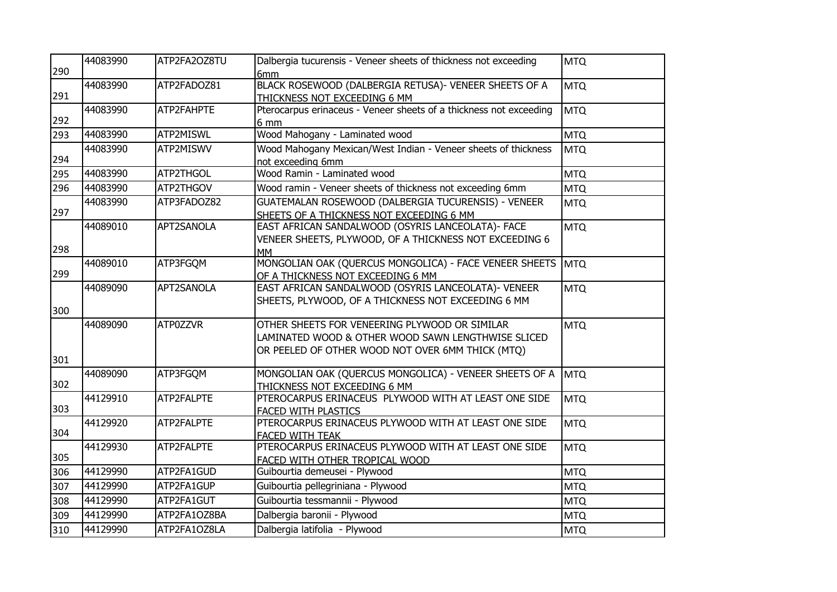|     | 44083990 | ATP2FA2OZ8TU | Dalbergia tucurensis - Veneer sheets of thickness not exceeding                        | <b>MTQ</b> |
|-----|----------|--------------|----------------------------------------------------------------------------------------|------------|
| 290 |          |              | 6mm                                                                                    |            |
| 291 | 44083990 | ATP2FADOZ81  | BLACK ROSEWOOD (DALBERGIA RETUSA) - VENEER SHEETS OF A<br>THICKNESS NOT EXCEEDING 6 MM | <b>MTQ</b> |
|     | 44083990 | ATP2FAHPTE   | Pterocarpus erinaceus - Veneer sheets of a thickness not exceeding                     | <b>MTQ</b> |
| 292 |          |              | 6 mm                                                                                   |            |
| 293 | 44083990 | ATP2MISWL    | Wood Mahogany - Laminated wood                                                         | <b>MTQ</b> |
|     | 44083990 | ATP2MISWV    | Wood Mahogany Mexican/West Indian - Veneer sheets of thickness                         | <b>MTQ</b> |
| 294 |          |              | not exceeding 6mm                                                                      |            |
| 295 | 44083990 | ATP2THGOL    | Wood Ramin - Laminated wood                                                            | <b>MTQ</b> |
| 296 | 44083990 | ATP2THGOV    | Wood ramin - Veneer sheets of thickness not exceeding 6mm                              | <b>MTQ</b> |
|     | 44083990 | ATP3FADOZ82  | GUATEMALAN ROSEWOOD (DALBERGIA TUCURENSIS) - VENEER                                    | <b>MTQ</b> |
| 297 |          |              | SHEETS OF A THICKNESS NOT EXCEEDING 6 MM                                               |            |
|     | 44089010 | APT2SANOLA   | EAST AFRICAN SANDALWOOD (OSYRIS LANCEOLATA)- FACE                                      | <b>MTQ</b> |
|     |          |              | VENEER SHEETS, PLYWOOD, OF A THICKNESS NOT EXCEEDING 6                                 |            |
| 298 |          |              | <b>MM</b>                                                                              |            |
|     | 44089010 | ATP3FGQM     | MONGOLIAN OAK (QUERCUS MONGOLICA) - FACE VENEER SHEETS                                 | <b>MTQ</b> |
| 299 |          |              | OF A THICKNESS NOT EXCEEDING 6 MM                                                      |            |
|     | 44089090 | APT2SANOLA   | EAST AFRICAN SANDALWOOD (OSYRIS LANCEOLATA)- VENEER                                    | <b>MTQ</b> |
|     |          |              | SHEETS, PLYWOOD, OF A THICKNESS NOT EXCEEDING 6 MM                                     |            |
| 300 |          |              |                                                                                        |            |
|     | 44089090 | ATP0ZZVR     | OTHER SHEETS FOR VENEERING PLYWOOD OR SIMILAR                                          | <b>MTQ</b> |
|     |          |              | LAMINATED WOOD & OTHER WOOD SAWN LENGTHWISE SLICED                                     |            |
|     |          |              | OR PEELED OF OTHER WOOD NOT OVER 6MM THICK (MTQ)                                       |            |
| 301 |          |              |                                                                                        |            |
| 302 | 44089090 | ATP3FGQM     | MONGOLIAN OAK (QUERCUS MONGOLICA) - VENEER SHEETS OF A                                 | <b>MTQ</b> |
|     | 44129910 | ATP2FALPTE   | THICKNESS NOT EXCEEDING 6 MM<br>PTEROCARPUS ERINACEUS PLYWOOD WITH AT LEAST ONE SIDE   |            |
| 303 |          |              | <b>FACED WITH PLASTICS</b>                                                             | <b>MTQ</b> |
|     | 44129920 | ATP2FALPTE   | PTEROCARPUS ERINACEUS PLYWOOD WITH AT LEAST ONE SIDE                                   | <b>MTQ</b> |
| 304 |          |              | <b>FACED WITH TEAK</b>                                                                 |            |
|     | 44129930 | ATP2FALPTE   | PTEROCARPUS ERINACEUS PLYWOOD WITH AT LEAST ONE SIDE                                   | <b>MTQ</b> |
| 305 |          |              | FACED WITH OTHER TROPICAL WOOD                                                         |            |
| 306 | 44129990 | ATP2FA1GUD   | Guibourtia demeusei - Plywood                                                          | <b>MTQ</b> |
| 307 | 44129990 | ATP2FA1GUP   | Guibourtia pellegriniana - Plywood                                                     | <b>MTQ</b> |
| 308 | 44129990 | ATP2FA1GUT   | Guibourtia tessmannii - Plywood                                                        | <b>MTQ</b> |
| 309 | 44129990 | ATP2FA1OZ8BA | Dalbergia baronii - Plywood                                                            | <b>MTQ</b> |
| 310 | 44129990 | ATP2FA1OZ8LA | Dalbergia latifolia - Plywood                                                          | <b>MTQ</b> |
|     |          |              |                                                                                        |            |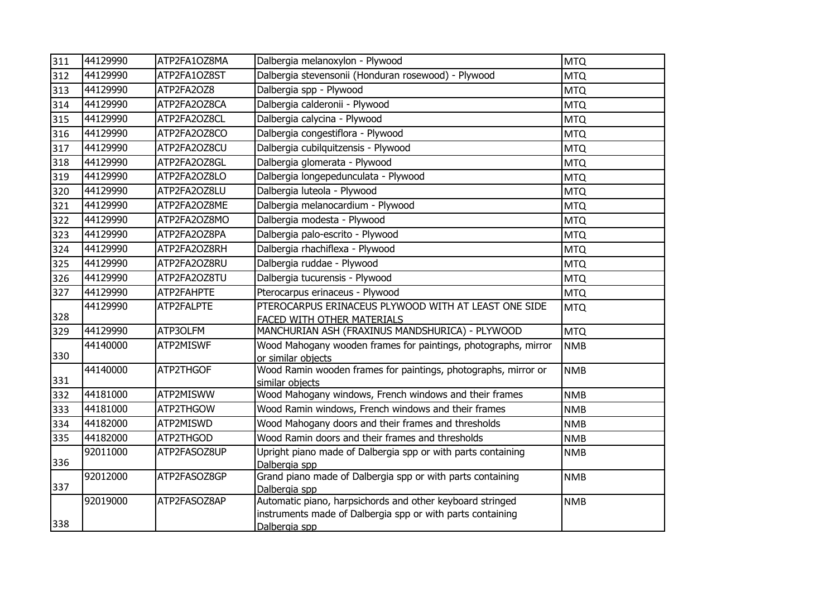| 311 | 44129990 | ATP2FA1OZ8MA | Dalbergia melanoxylon - Plywood                                                      | <b>MTQ</b> |
|-----|----------|--------------|--------------------------------------------------------------------------------------|------------|
| 312 | 44129990 | ATP2FA1OZ8ST | Dalbergia stevensonii (Honduran rosewood) - Plywood                                  | <b>MTQ</b> |
| 313 | 44129990 | ATP2FA2OZ8   | Dalbergia spp - Plywood                                                              | <b>MTQ</b> |
| 314 | 44129990 | ATP2FA2OZ8CA | Dalbergia calderonii - Plywood                                                       | <b>MTQ</b> |
| 315 | 44129990 | ATP2FA2OZ8CL | Dalbergia calycina - Plywood                                                         | <b>MTQ</b> |
| 316 | 44129990 | ATP2FA2OZ8CO | Dalbergia congestiflora - Plywood                                                    | <b>MTQ</b> |
| 317 | 44129990 | ATP2FA2OZ8CU | Dalbergia cubilquitzensis - Plywood                                                  | <b>MTQ</b> |
| 318 | 44129990 | ATP2FA2OZ8GL | Dalbergia glomerata - Plywood                                                        | <b>MTQ</b> |
| 319 | 44129990 | ATP2FA2OZ8LO | Dalbergia longepedunculata - Plywood                                                 | <b>MTQ</b> |
| 320 | 44129990 | ATP2FA2OZ8LU | Dalbergia luteola - Plywood                                                          | <b>MTQ</b> |
| 321 | 44129990 | ATP2FA2OZ8ME | Dalbergia melanocardium - Plywood                                                    | <b>MTQ</b> |
| 322 | 44129990 | ATP2FA2OZ8MO | Dalbergia modesta - Plywood                                                          | <b>MTQ</b> |
| 323 | 44129990 | ATP2FA2OZ8PA | Dalbergia palo-escrito - Plywood                                                     | <b>MTQ</b> |
| 324 | 44129990 | ATP2FA2OZ8RH | Dalbergia rhachiflexa - Plywood                                                      | <b>MTQ</b> |
| 325 | 44129990 | ATP2FA2OZ8RU | Dalbergia ruddae - Plywood                                                           | <b>MTQ</b> |
| 326 | 44129990 | ATP2FA2OZ8TU | Dalbergia tucurensis - Plywood                                                       | <b>MTQ</b> |
| 327 | 44129990 | ATP2FAHPTE   | Pterocarpus erinaceus - Plywood                                                      | <b>MTQ</b> |
|     | 44129990 | ATP2FALPTE   | PTEROCARPUS ERINACEUS PLYWOOD WITH AT LEAST ONE SIDE                                 | <b>MTQ</b> |
| 328 |          |              | FACED WITH OTHER MATERIALS                                                           |            |
| 329 | 44129990 | ATP3OLFM     | MANCHURIAN ASH (FRAXINUS MANDSHURICA) - PLYWOOD                                      | <b>MTQ</b> |
| 330 | 44140000 | ATP2MISWF    | Wood Mahogany wooden frames for paintings, photographs, mirror<br>or similar objects | <b>NMB</b> |
|     | 44140000 | ATP2THGOF    | Wood Ramin wooden frames for paintings, photographs, mirror or                       | <b>NMB</b> |
| 331 |          |              | similar objects                                                                      |            |
| 332 | 44181000 | ATP2MISWW    | Wood Mahogany windows, French windows and their frames                               | <b>NMB</b> |
| 333 | 44181000 | ATP2THGOW    | Wood Ramin windows, French windows and their frames                                  | <b>NMB</b> |
| 334 | 44182000 | ATP2MISWD    | Wood Mahogany doors and their frames and thresholds                                  | <b>NMB</b> |
| 335 | 44182000 | ATP2THGOD    | Wood Ramin doors and their frames and thresholds                                     | <b>NMB</b> |
|     | 92011000 | ATP2FASOZ8UP | Upright piano made of Dalbergia spp or with parts containing                         | <b>NMB</b> |
| 336 |          |              | Dalbergia spp                                                                        |            |
| 337 | 92012000 | ATP2FASOZ8GP | Grand piano made of Dalbergia spp or with parts containing<br>Dalbergia spp          | <b>NMB</b> |
|     | 92019000 | ATP2FASOZ8AP | Automatic piano, harpsichords and other keyboard stringed                            | <b>NMB</b> |
|     |          |              | instruments made of Dalbergia spp or with parts containing                           |            |
| 338 |          |              | Dalbergia spp                                                                        |            |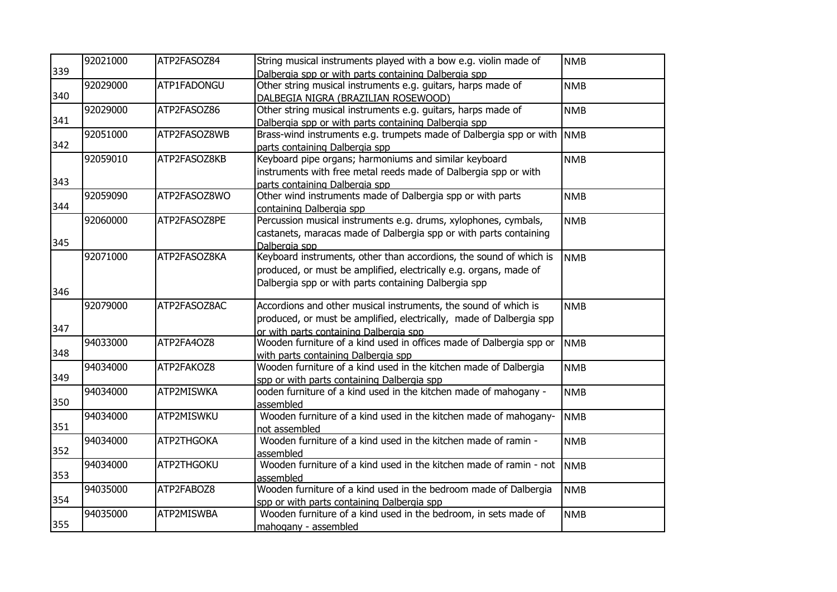|     | 92021000 | ATP2FASOZ84  | String musical instruments played with a bow e.g. violin made of    | <b>NMB</b> |
|-----|----------|--------------|---------------------------------------------------------------------|------------|
| 339 |          |              | Dalbergia spp or with parts containing Dalbergia spp                |            |
|     | 92029000 | ATP1FADONGU  | Other string musical instruments e.g. guitars, harps made of        | <b>NMB</b> |
| 340 |          |              | DALBEGIA NIGRA (BRAZILIAN ROSEWOOD)                                 |            |
|     | 92029000 | ATP2FASOZ86  | Other string musical instruments e.g. guitars, harps made of        | <b>NMB</b> |
| 341 |          |              | Dalbergia spp or with parts containing Dalbergia spp                |            |
|     | 92051000 | ATP2FASOZ8WB | Brass-wind instruments e.g. trumpets made of Dalbergia spp or with  | <b>NMB</b> |
| 342 |          |              | parts containing Dalbergia spp                                      |            |
|     | 92059010 | ATP2FASOZ8KB | Keyboard pipe organs; harmoniums and similar keyboard               | <b>NMB</b> |
|     |          |              | instruments with free metal reeds made of Dalbergia spp or with     |            |
| 343 |          |              | parts containing Dalbergia spp                                      |            |
|     | 92059090 | ATP2FASOZ8WO | Other wind instruments made of Dalbergia spp or with parts          | <b>NMB</b> |
| 344 |          |              | containing Dalbergia spp                                            |            |
|     | 92060000 | ATP2FASOZ8PE | Percussion musical instruments e.g. drums, xylophones, cymbals,     | <b>NMB</b> |
|     |          |              | castanets, maracas made of Dalbergia spp or with parts containing   |            |
| 345 |          |              | Dalbergia spp                                                       |            |
|     | 92071000 | ATP2FASOZ8KA | Keyboard instruments, other than accordions, the sound of which is  | <b>NMB</b> |
|     |          |              | produced, or must be amplified, electrically e.g. organs, made of   |            |
|     |          |              | Dalbergia spp or with parts containing Dalbergia spp                |            |
| 346 |          |              |                                                                     |            |
|     | 92079000 | ATP2FASOZ8AC | Accordions and other musical instruments, the sound of which is     | <b>NMB</b> |
|     |          |              | produced, or must be amplified, electrically, made of Dalbergia spp |            |
| 347 |          |              | or with parts containing Dalbergia spp                              |            |
|     | 94033000 | ATP2FA4OZ8   | Wooden furniture of a kind used in offices made of Dalbergia spp or | <b>NMB</b> |
| 348 |          |              | with parts containing Dalbergia spp                                 |            |
|     | 94034000 | ATP2FAKOZ8   | Wooden furniture of a kind used in the kitchen made of Dalbergia    | <b>NMB</b> |
| 349 |          |              | spp or with parts containing Dalbergia spp                          |            |
|     | 94034000 | ATP2MISWKA   | ooden furniture of a kind used in the kitchen made of mahogany -    | <b>NMB</b> |
| 350 |          |              | assembled                                                           |            |
|     | 94034000 | ATP2MISWKU   | Wooden furniture of a kind used in the kitchen made of mahogany-    | <b>NMB</b> |
| 351 |          |              | not assembled                                                       |            |
|     | 94034000 | ATP2THGOKA   | Wooden furniture of a kind used in the kitchen made of ramin -      | <b>NMB</b> |
| 352 |          |              | assembled                                                           |            |
|     | 94034000 | ATP2THGOKU   | Wooden furniture of a kind used in the kitchen made of ramin - not  | <b>NMB</b> |
| 353 |          |              | assembled                                                           |            |
|     | 94035000 | ATP2FABOZ8   | Wooden furniture of a kind used in the bedroom made of Dalbergia    | <b>NMB</b> |
| 354 |          |              | spp or with parts containing Dalbergia spp                          |            |
|     | 94035000 | ATP2MISWBA   | Wooden furniture of a kind used in the bedroom, in sets made of     | <b>NMB</b> |
| 355 |          |              | mahogany - assembled                                                |            |